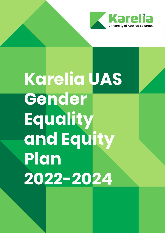

# **Karelia UAS Gender Equality and Equity Plan 2022-2024**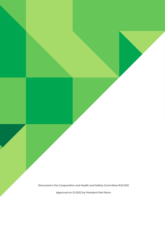Discussed in the Cooperation and Health and Safety Committee 16.12.2021

Approved on 5.1.2022 by President Petri Raivo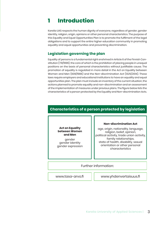# **1 Introduction**

Karelia UAS respects the human dignity of everyone, regardless of gender, gender identity, religion, origin, opinions or other personal characteristics. The purpose of this Equality and Equal Opportunities Plan is to promote the fulfilment of the legal obligations and to support the entire higher education community in promoting equality and equal opportunities and preventing discrimination.

#### **Legislation governing the plan**

Equality of persons is a fundamental right enshrined in Article 6 of the Finnish Constitution (731/1999), the core of which is the prohibition of placing people in unequal positions on the basis of personal characteristics without justifiable cause. The promotion of equality is regulated in more detail in the Act on Equality between Women and Men (609/1986) and the Non-discrimination Act (1325/2014). These laws require employers and educational institutions to have an equality and equal opportunities plan. The plan must include an inventory of the current situation, the actions planned to promote equality and non-discrimination and an assessment of the implementation of measures under previous plans. The figure below lists the characteristics of a person protected by the Equality and Non-discrimination Acts.

#### **Characteristics of a person protected by legislation**

**Act on Equality between Women and Men** 

gender gender identity gender expression

#### **Non-discrimination Act**

age, origin, nationality, language, religion, belief, opinion, political activity, trade union activity, family relationships, state of health, disability, sexual orientation or other personal characteristics

#### Further information:

www.tasa-arvo.fi www.yhdenvertaisuus.fi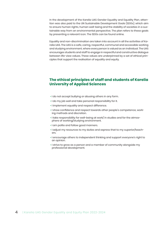In the development of the Karelia UAS Gender Equality and Equality Plan, attention was also paid to the UN Sustainable Development Goals (SDGs), which aim to ensure human rights, human well-being and the stability of societies in a sustainable way from an environmental perspective. The plan refers to these goals by presenting a relevant icon. The SDGs can be found online.

Equality and non-discrimination are taken into account in all the activities of Karelia UAS. The UAS is a safe, caring, respectful, communal and accessible working and studying environment, where every person is valued as an individual. The UAS encourages students and staff to engage in respectful and constructive dialogue between life-view values. These values are underpinned by a set of ethical principles that support the realisation of equality and equity.

#### **The ethical principles of staff and students of Karelia University of Applied Sciences**

- I do not accept bullying or abusing others in any form.
- I do my job well and take personal responsibility for it.
- I implement equality and respect difference.
- I show confidence and respect towards other people's competence, working methods and discretion.
- I take responsibility for well-being at work/ in studies and for the atmosphere of working/studying environment.
- I am polite and follow good manners.
- I adjust my resources to my duties and express that to my superior/teachers.
- I encourage others to independent thinking and support everyone's right to an opinion.
- I strive to grow as a person and a member of community alongside my professional development.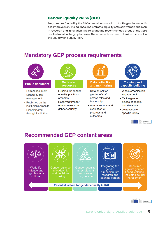#### **Gender Equality Plans (GEP)**

Programmes funded by the EU Commission must aim to tackle gender inequalities, improve work-life balance and promote equality between women and men in research and innovation. The relevant and recommended areas of the GEPs are illustrated in the graphs below. These issues have been taken into account in this Equality and Equity Plan.

# **Mandatory GEP process requirements**



# **Recommended GEP content areas**





European<br>Commission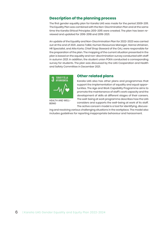#### **Description of the planning process**

The first gender equality plan for Karelia UAS was made for the period 2009-2011. The Equality Plan was combined with the Non-Discrimination Plan and at the same time the Karelia Ethical Principles 2013-2015 were created. The plan has been reviewed and updated for 2016-2018 and 2019-2021.

An update of the Equality and Non-Discrimination Plan for 2022-2023 was carried out at the end of 2021. Jaana Tolkki, Human Resources Manager, Hanna Utriainen, HR Specialist, and Atte Korte, Chief Shop Steward of the OAJ, were responsible for the preparation of the plan. The mapping of the current situation presented in the plan is based on the equality and non-discrimination survey conducted with staff in autumn 2021. In addition, the student union POKA conducted a corresponding survey for students. The plan was discussed by the UAS Cooperation and Health and Safety Committee in December 2021.



HEALTH AND WELL-**BEING** 

#### **Other related plans**

Karelia UAS also has other plans and programmes that support the implementation of equality and equal opportunities. The Age and Work Capability Programme aims to promote the maintenance of staff's work capacity and the development of skills at different stages of their careers. The well-being at work programme describes how the UAS considers and supports the well-being at work of its staff. The active concern model is a tool for identifying, discuss-

ing and resolving various challenging situations in the workplace. The model also includes guidelines for reporting inappropriate behaviour and harassment.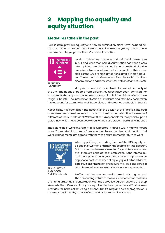# **2 Mapping the equality and equity situation**

#### **Measures taken in the past**

Karelia UAS's previous equality and non-discrimination plans have included numerous actions to promote equality and non-discrimination, many of which have become an integral part of the UAS's normal activities.



**REDUCING** INEQUALITY Karelia UAS has been declared a discrimination-free area in 2011, and since then non-discrimination has been a core value guiding its activities. Equality and non-discrimination are taken into account in all activities and the ethical principles of the UAS are highlighted, for example, in staff induction. The model of active concern includes tools to address discrimination and harassment for both staff and students.

Many measures have been taken to promote equality at

the UAS. The needs of people from different cultures have been identified. For example, both campuses have quiet spaces suitable for activities of one's own religious beliefs. The internationalisation of students and staff has been taken into account, for example by making services and guidance available in English.

Accessibility has been taken into account in the design of the facilities and both campuses are accessible. Karelia has also taken into consideration the needs of different learners. The Student Welfare Officer is responsible for the special support guidelines, which have been developed for the Pakki student portal and intranet.

The balancing of work and family life is supported in Karelia UAS in many different ways. Those returning to work from extended leave are given an induction and work arrangements are agreed with them to ensure a smooth return to work.



PEACE, JUSTICE AND GOOD ADMINISTRATION

When appointing the working teams of the UAS, equal participation of women and men has been taken into account. Both women and men are selected for job interviews whenever there are candidates of both sexes. In the internal recruitment process, everyone has an equal opportunity to apply for a post. In the case of equally qualified candidates, a positive discrimination procedure may be considered in recruitment where one sex is clearly under-represented.

Staff are paid in accordance with the collective agreement. The demanding nature of the work is assessed on the basis

of criteria drawn up in consultation with the collective agreement and the shop stewards. The differences in pay are explained by the experience and TVA bonuses provided for in the collective agreement. Staff training and career progression is regularly monitored by means of career development discussions.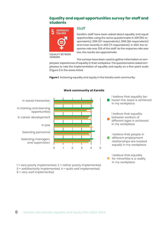#### **Equality and equal opportunities survey for staff and students**



EQUALITY BETWEEN GENDERS

#### Staff

Karelia's staff have been asked about equality and equal opportunities using the same questionnaire in 2011 (152 respondents), 2016 (67 respondents), 2018 (66 respondents) and most recently in 2021 (71 respondents). In 2021, the response rate was 22% of the staff. As the response rate was low, the results are approximate.

in my workplace

The surveys have been used to gather information on em-

ployees' experiences of equality in their workplace. The questionnaires asked employees to rate the implementation of equality and equity on a five-point scale (Figure 1) in the areas listed.

**Figure 1** Achieving equality and equity in the Karelia work community.



**Work community at Karelia**

1 = very poorly implemented, 2 = rather poorly implemented, 3 = satisfactorily implemented, 4 = quite well implemented,

5 = very well implemented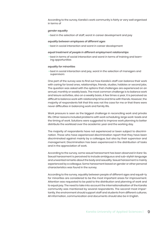According to the survey, Karelia's work community is fairly or very well organised in terms of

#### *gender equality*

• best in the selection of staff, worst in career development and pay

#### *equality between employees of different ages*

• best in social interaction and worst in career development

#### *equal treatment of people in different employment relationships*

• best in terms of social interaction and worst in terms of training and learning opportunities

#### *equality for minorities*

• best in social interaction and pay, worst in the selection of managers and supervisors

One part of the survey was to find out how Karelia's staff can balance their work with caring for loved ones, relationships, friends, studies, hobbies or second jobs. The question was asked with the options that challenges are experienced on an annual, monthly or weekly basis. The most common challenge is to balance work and leisure activities, also on a weekly basis. A few times a year, it is perceived as difficult to balance work with relationship time and time with friends. However, the majority of respondents felt that this was not the case for me or that there were never difficulties in balancing work and family life.

Work pressure is seen as the biggest challenge in reconciling work and private life. Other reasons included problems with work scheduling, large work-loads and the timing of work. Solutions were suggested to improve work planning to better distribute the workload over the academic year and the working day.

The majority of respondents have not experienced or been subject to discrimination. Those who have experienced discrimination report that they have been discriminated against mainly by a colleague, but also by their supervisor and management. Discrimination has been experienced in the distribution of tasks and in the appreciation of work.

According to the survey, some sexual harassment has been observed in Kare-lia. Sexual harassment is perceived to include ambiguous and sub-stylish language and unwanted remarks about the body and sexuality. Sexual harassment is mainly experienced by a colleague. Some harassment based on gender or other personal characteristics was found in the survey.

According to the survey, equality between people of different ages and equali-ty for minorities are considered to be the most important areas for improvement. Attention was requested to be paid to the distribution and planning of work and to equal pay. The need to take into account the internationalisation of the Karelia community was mentioned by several respondents. The second-most importantly, the environment should support staff and students from different cultures. All information, communication and documents should also be in English.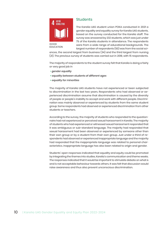

#### **Students**

The Karelia UAS student union POKA conducted in 2021 a gender equality and equality survey for Karelia UAS students, based on the survey conducted for the Karelia staff. The survey was answered by 232 students, which was just under 7% of the Karelia students in attendance. The respondents were from a wide range of educational backgrounds. The largest number of respondents (50) was from the social sci-

EDUCATION

ences, the second largest from business (34) and the third largest from nursing (21). The previous survey of students was carried out in 2018, with 15 respondents.

The majority of respondents to the student survey felt that Karelia is doing a fairly or very good job in

- *gender equality*
- **•** *equality between students of different ages*
- **•** *equality for minorities*

The majority of Karelia UAS students have not experienced or been subjected to discrimination in the last two years. Respondents who had observed or experienced discrimination assume that discrimination is caused by the diversity of people or people's inability to accept and work with different people. Discrimination was mainly observed or experienced by students from the same student group. Some respondents had observed or experienced discrimination from other students or teachers.

According to the survey, the majority of students who responded to the questionnaire had not experienced or perceived sexual harassment in Karelia. The majority of students who had experienced or witnessed sexual harassment responded that it was ambiguous or sub-standard language. The majority had responded that sexual harassment had been observed or experienced by someone other than their own group or by a student from their own group. Just under a third of respondents had observed or experienced inappropriate language and the majority had responded that the inappropriate language was related to personal characteristics. Inappropriate language has also been related to origin and gender.

Students' open responses indicated that equality and equity could be promoted by integrating the themes into studies, Karelia's communication and theme weeks. The responses indicated that it would be important to stimulate debate on what is and is not acceptable behaviour towards others. It was felt that discussion would raise awareness and thus also prevent unconscious discrimination.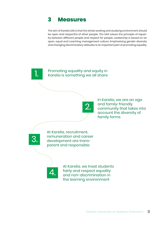# **3 Measures**

The aim of Karelia UAS is that the whole working and studying environment should be open and respectful of other people. The UAS values the principle of equality between different people and respect for people. Leadership is based on an open, equal and coaching management culture. Emphasising gender diversity and changing discriminatory attitudes is an important part of promoting equality.

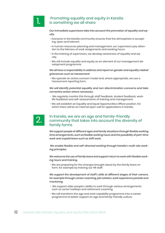# 1.

#### Promoting equality and equity in Karelia is something we all share

*Our immediate supervisors take into account the promotion of equality and equity.*

- Everyone in the Karelia community ensures that the atmosphere is accepting, open and tolerant.
- In human resources planning and management, our supervisors pay attention to the fairness of work assignments and working hours.
- In the training of supervisors, we develop awareness of equality and equity.
- We will include equality and equity as an element of our management development programme.

*We all have a responsibility to address and report on gender and equality related grievances such as harassment.*

• We operate an active concern model and, where appropriate, we use a harassment reporting form.

*We will identify potential equality and non-discrimination concerns and take corrective action where necessary.*

- We regularly monitor this through staff feedback, student feedback, worklife feedback and self-assessments of training and management.
- We will establish an Equality and Equal Opportunities Officer position, for which there will be an internal open call for applications in Karelia.



#### In Karelia, we are an age and family-friendly community that takes into account the diversity of family forms

*We support people of different ages and family situations through flexible working time arrangements, such as flexible working hours and the possibility of part-time work and unpaid leave such as shift work.* 

 *We enable flexible and self-directed working through Karelia's multi-site working principles.*

*We welcome the use of family leave and support return to work with flexible working hours and training.* 

• We are preparing for the changes brought about by the family leave reform, for example by training our HR staff.

*We support the development of staff's skills at different stages of their careers, for example through career coaching, job rotation, work experience periods and mentoring.*

- We support older people's ability to work through various arrangements such as senior holidays and retirement coaching.
- We will transform the age and work capability programme into a career programme to better support an age and family-friendly culture.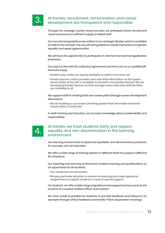

#### At Karelia, recruitment, remuneration and career development are transparent and responsible

*Through the strategic human resources plan, we anticipate future recruitment needs and ensure a sufficient supply of skilled staff.*

*Our recruitment guidelines are written in our strategic HR plan, which is available to staff on the intranet. The recruitment guidelines include instructions on gender equality and equal opportunities.*

*We all have the opportunity to participate in internal and external application processes.*

*Our pay is in line with the collective agreement and there are no un-justified differences in pay.*

- Karelia's pay scales are openly available to staff on the intra-net
- Karelia Vipunen, which provides near real-time information on the operational results of the UAS, is available to all staff in the Karelia Intranet. We are developing Karelia Vipunen so that average salary data and staff job titles are available to all

*We support staff in creating their own career paths through career development discussions.*

• We are building a succession planning system that will enable horizontal career paths in particular.

In staff training and induction, we increase knowledge about sustainability and *responsibility.* 



#### At Karelia, we treat students fairly and respect equality and non-discrimination in the learning environment

*Our learning environment is equal and equitable, and discriminatory practices, for example, are not tolerated.*

*We offer a wide range of training options in different fields for people in different life situations.*

*Our teaching and learning environment enables learning and qualifications on an equal basis for all students.*

- Our campuses are accessible.
- We pay particular attention to barriers to learning and make special arrangements to support students in need of special support.

*For students, we offer a wide range of guidance and support services such as the services of a student welfare officer and a pastor.* 

*We have made it possible for students to provide feedback and influence, for example through OPALA feedback and Karelia-POKA cooperation meetings.*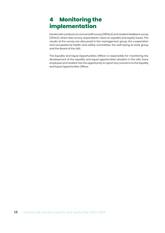# **4 Monitoring the implementation**

Karelia UAS conducts an annual staff survey (HEPALA) and student feedback survey (OPALA), which also survey respondents' views on equality and equity issues. The results of the survey are discussed in the management group, the cooperation and occupational health and safety committee, the well-being at work group and the Board of the UAS.

The Equality and Equal Opportunities Officer is responsible for monitoring the development of the equality and equal opportunities situation in the UAS. Every employee and student has the opportunity to report any concerns to the Equality and Equal Opportunities Officer.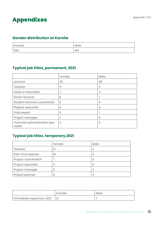# Appendixes **Appendixes**

#### **Gender distribution at Karelia**

| <sup>'</sup> Female | Male |
|---------------------|------|
| 59%                 | 41%  |

# **Typical job titles, permanent, 2021**

|                                          | Female         | Male |
|------------------------------------------|----------------|------|
| Lecturer                                 | 76             | 58   |
| Teacher                                  | 11             | 3    |
| Head of education                        | 7              | 3    |
| Senior lecturer                          | 6              | 7    |
| Student services coordinator             | 5              | 0    |
| Prjoject specialist                      | $\overline{4}$ | 4    |
| Data expert                              | $\overline{4}$ |      |
| Project manager                          |                | 4    |
| Financial administration spe-<br>cialist | $\overline{4}$ | 0    |

# **Typical job titles, temporary,2021**

|                      | Female | Male |
|----------------------|--------|------|
| Teacher              | 12     | 3    |
| Part-time teacher    | 19     | 9    |
| Project coordinatori |        |      |
| Project specialist   | 3      | 5    |
| Project manager      | 3      | 4    |
| Project planner      | 0      | 3    |

|                           | Female | Male |
|---------------------------|--------|------|
| Immediate supervisor 2021 |        |      |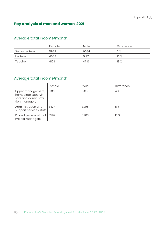# **Pay analysis of men and women, 2021**

# Average total income/month

|                 | Female | Male | Difference |
|-----------------|--------|------|------------|
| Senior lecturer | 5929   | 6034 | 2%         |
| Lecturer        | 4664   | 5197 | 10%        |
| Teacher         | 4123   | 4733 | 13%        |

# Average total income/month

|                                                                                  | Female | Male | <b>Difference</b> |
|----------------------------------------------------------------------------------|--------|------|-------------------|
| Upper management,<br>immediate supervi-<br>sors and administra-<br>tion managers | 6180   | 6457 | 4 %               |
| Administration and<br>support services staff                                     | 3477   | 3205 | 8%                |
| Project personnel incl.<br>Project managers                                      | 3592   | 3983 | 10 <sub>%</sub>   |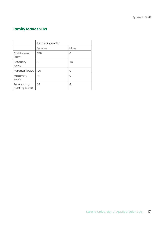Appendix 3 (4)

# **Family leaves 2021**

|                            | Juridical gender |                  |
|----------------------------|------------------|------------------|
|                            | Female           | Male             |
| Child-care<br>leave        | 258              | Ω                |
| Paternity<br>leave         | O                | 116              |
| Parental leave             | 190              | O                |
| Maternity<br>leave         | 18               | $\left( \right)$ |
| Temporary<br>nursing leave | 54               | 4                |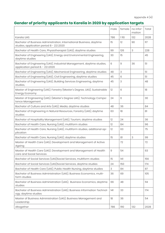# **Gender of priority applicants to Karelia in 2020 by application targets**

|                                                                                                                   | male       | female | no infor-<br>mation | Total |
|-------------------------------------------------------------------------------------------------------------------|------------|--------|---------------------|-------|
| <b>Karelia UAS</b>                                                                                                | 786        | 1110   | 132                 | 2028  |
| Bachelor of Business Administration, International Business, daytime<br>studies, application period 8 - 22.1.2020 | 15         | 12     | 90                  | 117   |
| Bachelor of Health Care, Physiotherapist (UAS), daytime studies                                                   | 99         | 126    | 3                   | 228   |
| Bachelor of Engineering (UAS), Energy and Environmental Engineering,<br>daytime studies                           | 30         | 15     |                     | 45    |
| Bachelor of Engineering (UAS), Industrial Management, daytime studies,<br>application period 8. - 22.1.2020       | 6          | 9      | 36                  | 51    |
| Bachelor of Engineering (UAS), Mechanical Engineering, daytime studies                                            | 48         | 3      |                     | 51    |
| Bachelor of Engineering (UAS), Civil Engineering, daytime studies                                                 | 45         | 6      |                     | 51    |
| Bachelor of Engineering (UAS), Building Services Engineering, daytime<br>studies,                                 | 45         | 3      |                     | 48    |
| Master of Engineering (UAS), Forestry (Master's Degree, UAS), Sustainable<br>Energy Economy                       | 12         | 6      |                     | 18    |
| Master of Engineering (UAS), (Master's Degree UAS), Technology Compe-<br>tence Management                         | 24         | 6      |                     | 30    |
| Bachelor of Culture and Arts (UAS), Media, daytime studies                                                        | 48         | 36     |                     | 84    |
| Bachelor of Engineering in Natural Resources, Forestry (UAS), daytime<br>studies                                  | 63         | 18     |                     | 81    |
| Bachelor of Hospitality Management (UAS), Tourism, daytime studies                                                | 12         | 24     |                     | 36    |
| Bachelor of Health Care, Nursing (UAS), multiform studies                                                         | 12         | 84     |                     | 96    |
| Bachelor of Health Care, Nursing (UAS), multiform studies, additional ap-<br>plication                            | 12         | 63     |                     | 75    |
| Bachelor of Health Care, Nursing (UAS), daytime studies                                                           | 15         | 81     | 3                   | 99    |
| Master of Health Care (UAS), Development and Management of Active<br>Ageing                                       |            | 72     |                     | 72    |
| Master of Health Care (UAS), Development and Management of Health<br>care and Social Services                     | $\hbox{9}$ | 54     |                     | 63    |
| Bachelor of Social Services (UAS)Social Services, multiform studies                                               | 15         | 4      |                     | 156   |
| Bachelor of Social Services (UAS) Social Services, daytime studies                                                | 24         | 150    |                     | 174   |
| Bachelor of Health Care (UAS), Public Health Nursing, daytime studies                                             | 3          | 84     |                     | 87    |
| Bachelor of Business Administration (UAS), Business Economics, multi-<br>form studies                             | 36         | 69     |                     | 105   |
| Bachelor of Business Administration (UAS), Business Economics, daytime<br>studies                                 | 66         | 48     |                     | 114   |
| Bachelor of Business Administration (UAS), Business Information Technol-<br>ogy, daytime studies                  | 4          | 33     |                     | 174   |
| Master of Business Administration (UAS), Business Management and<br>Leadership                                    | 18         | 36     |                     | 54    |
| Altogether                                                                                                        | 786        | 1110   | 132                 | 2028  |